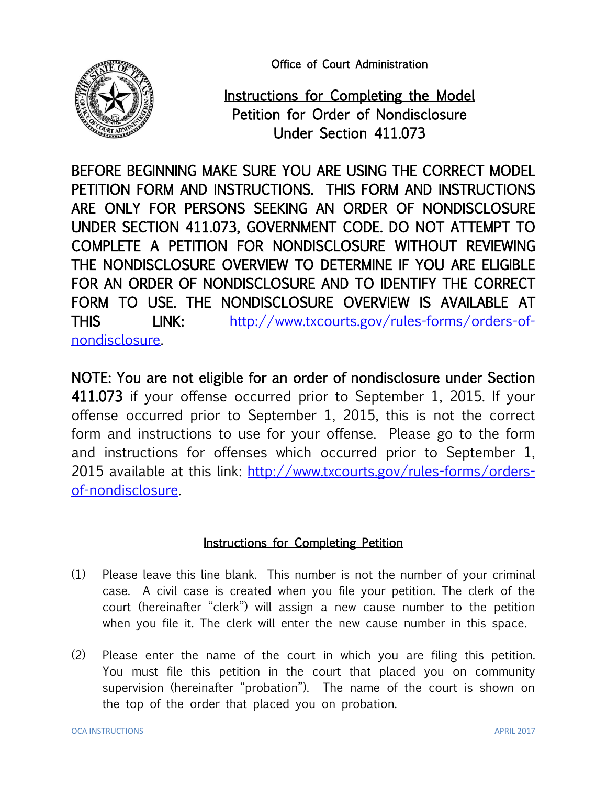Office of Court Administration



## Instructions for Completing the Model Petition for Order of Nondisclosure Under Section 411.073

BEFORE BEGINNING MAKE SURE YOU ARE USING THE CORRECT MODEL PETITION FORM AND INSTRUCTIONS. THIS FORM AND INSTRUCTIONS ARE ONLY FOR PERSONS SEEKING AN ORDER OF NONDISCLOSURE UNDER SECTION 411.073, GOVERNMENT CODE. DO NOT ATTEMPT TO COMPLETE A PETITION FOR NONDISCLOSURE WITHOUT REVIEWING THE NONDISCLOSURE OVERVIEW TO DETERMINE IF YOU ARE ELIGIBLE FOR AN ORDER OF NONDISCLOSURE AND TO IDENTIFY THE CORRECT FORM TO USE. THE NONDISCLOSURE OVERVIEW IS AVAILABLE AT THIS LINK: [http://www.txcourts.gov/rules-forms/orders-of](http://www.txcourts.gov/rules-forms/orders-of-nondisclosure)[nondisclosure.](http://www.txcourts.gov/rules-forms/orders-of-nondisclosure)

NOTE: You are not eligible for an order of nondisclosure under Section 411.073 if your offense occurred prior to September 1, 2015. If your offense occurred prior to September 1, 2015, this is not the correct form and instructions to use for your offense. Please go to the form and instructions for offenses which occurred prior to September 1, 2015 available at this link: [http://www.txcourts.gov/rules-forms/orders](http://www.txcourts.gov/rules-forms/orders-of-nondisclosure)[of-nondisclosure.](http://www.txcourts.gov/rules-forms/orders-of-nondisclosure)

## Instructions for Completing Petition

- (1) Please leave this line blank. This number is not the number of your criminal case. A civil case is created when you file your petition. The clerk of the court (hereinafter "clerk") will assign a new cause number to the petition when you file it. The clerk will enter the new cause number in this space.
- (2) Please enter the name of the court in which you are filing this petition. You must file this petition in the court that placed you on community supervision (hereinafter "probation"). The name of the court is shown on the top of the order that placed you on probation.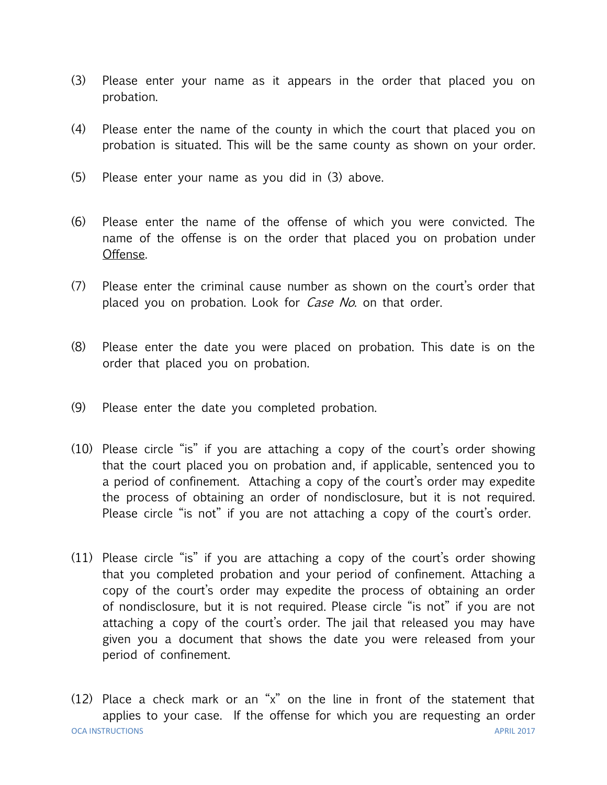- (3) Please enter your name as it appears in the order that placed you on probation.
- (4) Please enter the name of the county in which the court that placed you on probation is situated. This will be the same county as shown on your order.
- (5) Please enter your name as you did in (3) above.
- (6) Please enter the name of the offense of which you were convicted. The name of the offense is on the order that placed you on probation under Offense.
- (7) Please enter the criminal cause number as shown on the court's order that placed you on probation. Look for *Case No*. on that order.
- (8) Please enter the date you were placed on probation. This date is on the order that placed you on probation.
- (9) Please enter the date you completed probation.
- (10) Please circle "is" if you are attaching a copy of the court's order showing that the court placed you on probation and, if applicable, sentenced you to a period of confinement. Attaching a copy of the court's order may expedite the process of obtaining an order of nondisclosure, but it is not required. Please circle "is not" if you are not attaching a copy of the court's order.
- (11) Please circle "is" if you are attaching a copy of the court's order showing that you completed probation and your period of confinement. Attaching a copy of the court's order may expedite the process of obtaining an order of nondisclosure, but it is not required. Please circle "is not" if you are not attaching a copy of the court's order. The jail that released you may have given you a document that shows the date you were released from your period of confinement.

OCA INSTRUCTIONS APRIL 2017 (12) Place a check mark or an "x" on the line in front of the statement that applies to your case. If the offense for which you are requesting an order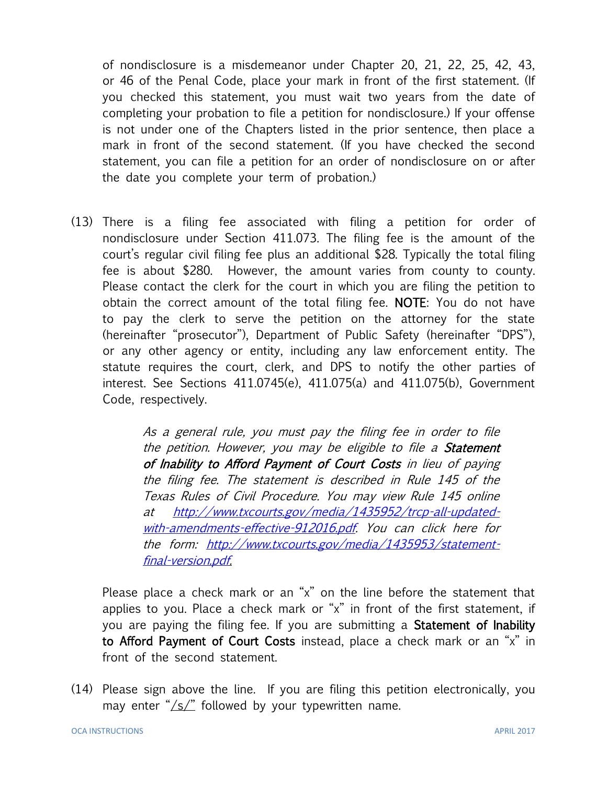of nondisclosure is a misdemeanor under Chapter 20, 21, 22, 25, 42, 43, or 46 of the Penal Code, place your mark in front of the first statement. (If you checked this statement, you must wait two years from the date of completing your probation to file a petition for nondisclosure.) If your offense is not under one of the Chapters listed in the prior sentence, then place a mark in front of the second statement. (If you have checked the second statement, you can file a petition for an order of nondisclosure on or after the date you complete your term of probation.)

(13) There is a filing fee associated with filing a petition for order of nondisclosure under Section 411.073. The filing fee is the amount of the court's regular civil filing fee plus an additional \$28. Typically the total filing fee is about \$280. However, the amount varies from county to county. Please contact the clerk for the court in which you are filing the petition to obtain the correct amount of the total filing fee. NOTE: You do not have to pay the clerk to serve the petition on the attorney for the state (hereinafter "prosecutor"), Department of Public Safety (hereinafter "DPS"), or any other agency or entity, including any law enforcement entity. The statute requires the court, clerk, and DPS to notify the other parties of interest. See Sections 411.0745(e), 411.075(a) and 411.075(b), Government Code, respectively.

> As a general rule, you must pay the filing fee in order to file the petition. However, you may be eligible to file a Statement of Inability to Afford Payment of Court Costs in lieu of paying the filing fee. The statement is described in Rule 145 of the Texas Rules of Civil Procedure. You may view Rule 145 online at [http://www.txcourts.gov/media/1435952/trcp-all-updated](http://www.txcourts.gov/media/1435952/trcp-all-updated-with-amendments-effective-912016.pdf)[with-amendments-effective-912016.pdf.](http://www.txcourts.gov/media/1435952/trcp-all-updated-with-amendments-effective-912016.pdf) You can click here for the form: [http://www.txcourts.gov/media/1435953/statement](http://www.txcourts.gov/media/1435953/statement-final-version.pdf)[final-version.pdf.](http://www.txcourts.gov/media/1435953/statement-final-version.pdf)

Please place a check mark or an "x" on the line before the statement that applies to you. Place a check mark or "x" in front of the first statement, if you are paying the filing fee. If you are submitting a Statement of Inability to Afford Payment of Court Costs instead, place a check mark or an "x" in front of the second statement.

(14) Please sign above the line. If you are filing this petition electronically, you may enter " $\sqrt{s}$ " followed by your typewritten name.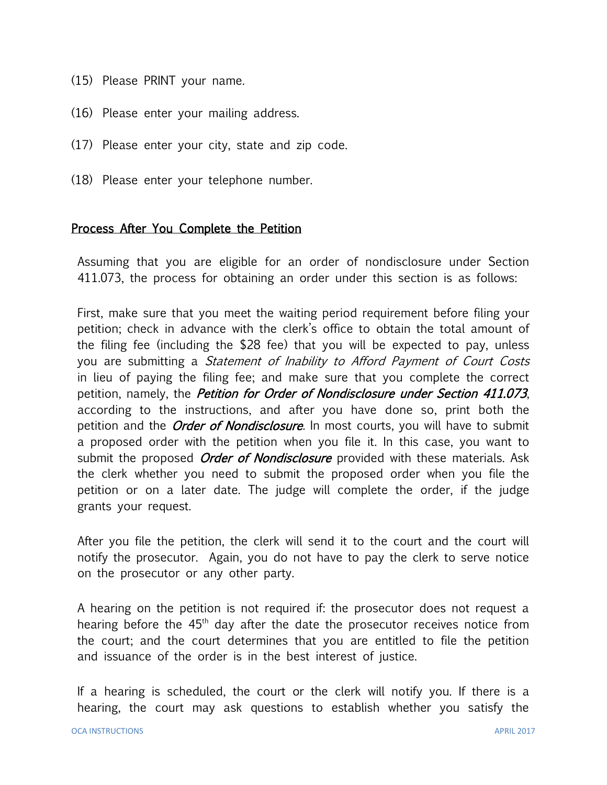- (15) Please PRINT your name.
- (16) Please enter your mailing address.
- (17) Please enter your city, state and zip code.
- (18) Please enter your telephone number.

## Process After You Complete the Petition

Assuming that you are eligible for an order of nondisclosure under Section 411.073, the process for obtaining an order under this section is as follows:

First, make sure that you meet the waiting period requirement before filing your petition; check in advance with the clerk's office to obtain the total amount of the filing fee (including the \$28 fee) that you will be expected to pay, unless you are submitting a Statement of Inability to Afford Payment of Court Costs in lieu of paying the filing fee; and make sure that you complete the correct petition, namely, the *Petition for Order of Nondisclosure under Section 411.073*, according to the instructions, and after you have done so, print both the petition and the *Order of Nondisclosure*. In most courts, you will have to submit a proposed order with the petition when you file it. In this case, you want to submit the proposed *Order of Nondisclosure* provided with these materials. Ask the clerk whether you need to submit the proposed order when you file the petition or on a later date. The judge will complete the order, if the judge grants your request.

After you file the petition, the clerk will send it to the court and the court will notify the prosecutor. Again, you do not have to pay the clerk to serve notice on the prosecutor or any other party.

A hearing on the petition is not required if: the prosecutor does not request a hearing before the  $45<sup>th</sup>$  day after the date the prosecutor receives notice from the court; and the court determines that you are entitled to file the petition and issuance of the order is in the best interest of justice.

If a hearing is scheduled, the court or the clerk will notify you. If there is a hearing, the court may ask questions to establish whether you satisfy the